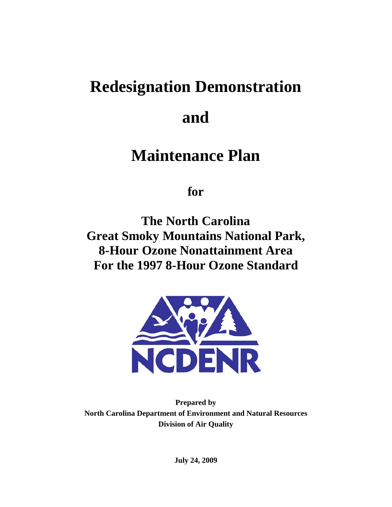# **Redesignation Demonstration**

# **and**

# **Maintenance Plan**

**for** 

**The North Carolina Great Smoky Mountains National Park, 8-Hour Ozone Nonattainment Area For the 1997 8-Hour Ozone Standard** 



**Prepared by North Carolina Department of Environment and Natural Resources Division of Air Quality** 

**July 24, 2009**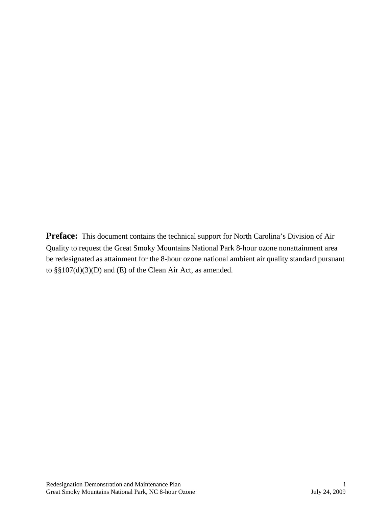**Preface:** This document contains the technical support for North Carolina's Division of Air Quality to request the Great Smoky Mountains National Park 8-hour ozone nonattainment area be redesignated as attainment for the 8-hour ozone national ambient air quality standard pursuant to §§107(d)(3)(D) and (E) of the Clean Air Act, as amended.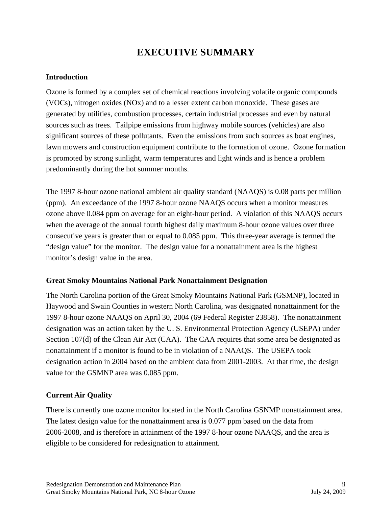# **EXECUTIVE SUMMARY**

#### **Introduction**

Ozone is formed by a complex set of chemical reactions involving volatile organic compounds (VOCs), nitrogen oxides (NOx) and to a lesser extent carbon monoxide. These gases are generated by utilities, combustion processes, certain industrial processes and even by natural sources such as trees. Tailpipe emissions from highway mobile sources (vehicles) are also significant sources of these pollutants. Even the emissions from such sources as boat engines, lawn mowers and construction equipment contribute to the formation of ozone. Ozone formation is promoted by strong sunlight, warm temperatures and light winds and is hence a problem predominantly during the hot summer months.

The 1997 8-hour ozone national ambient air quality standard (NAAQS) is 0.08 parts per million (ppm). An exceedance of the 1997 8-hour ozone NAAQS occurs when a monitor measures ozone above 0.084 ppm on average for an eight-hour period. A violation of this NAAQS occurs when the average of the annual fourth highest daily maximum 8-hour ozone values over three consecutive years is greater than or equal to 0.085 ppm. This three-year average is termed the "design value" for the monitor. The design value for a nonattainment area is the highest monitor's design value in the area.

#### **Great Smoky Mountains National Park Nonattainment Designation**

The North Carolina portion of the Great Smoky Mountains National Park (GSMNP), located in Haywood and Swain Counties in western North Carolina, was designated nonattainment for the 1997 8-hour ozone NAAQS on April 30, 2004 (69 Federal Register 23858). The nonattainment designation was an action taken by the U. S. Environmental Protection Agency (USEPA) under Section 107(d) of the Clean Air Act (CAA). The CAA requires that some area be designated as nonattainment if a monitor is found to be in violation of a NAAQS. The USEPA took designation action in 2004 based on the ambient data from 2001-2003. At that time, the design value for the GSMNP area was 0.085 ppm.

#### **Current Air Quality**

There is currently one ozone monitor located in the North Carolina GSNMP nonattainment area. The latest design value for the nonattainment area is 0.077 ppm based on the data from 2006-2008, and is therefore in attainment of the 1997 8-hour ozone NAAQS, and the area is eligible to be considered for redesignation to attainment.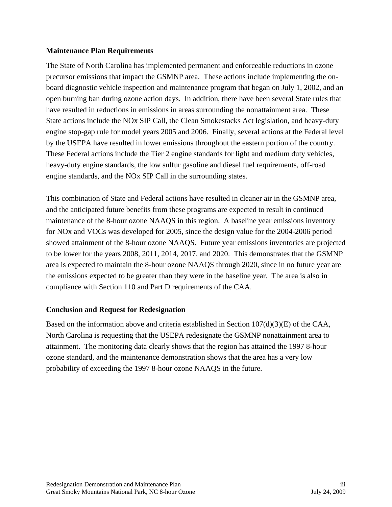#### **Maintenance Plan Requirements**

The State of North Carolina has implemented permanent and enforceable reductions in ozone precursor emissions that impact the GSMNP area. These actions include implementing the onboard diagnostic vehicle inspection and maintenance program that began on July 1, 2002, and an open burning ban during ozone action days. In addition, there have been several State rules that have resulted in reductions in emissions in areas surrounding the nonattainment area. These State actions include the NOx SIP Call, the Clean Smokestacks Act legislation, and heavy-duty engine stop-gap rule for model years 2005 and 2006. Finally, several actions at the Federal level by the USEPA have resulted in lower emissions throughout the eastern portion of the country. These Federal actions include the Tier 2 engine standards for light and medium duty vehicles, heavy-duty engine standards, the low sulfur gasoline and diesel fuel requirements, off-road engine standards, and the NOx SIP Call in the surrounding states.

This combination of State and Federal actions have resulted in cleaner air in the GSMNP area, and the anticipated future benefits from these programs are expected to result in continued maintenance of the 8-hour ozone NAAQS in this region. A baseline year emissions inventory for NOx and VOCs was developed for 2005, since the design value for the 2004-2006 period showed attainment of the 8-hour ozone NAAQS. Future year emissions inventories are projected to be lower for the years 2008, 2011, 2014, 2017, and 2020. This demonstrates that the GSMNP area is expected to maintain the 8-hour ozone NAAQS through 2020, since in no future year are the emissions expected to be greater than they were in the baseline year. The area is also in compliance with Section 110 and Part D requirements of the CAA.

#### **Conclusion and Request for Redesignation**

Based on the information above and criteria established in Section  $107(d)(3)(E)$  of the CAA, North Carolina is requesting that the USEPA redesignate the GSMNP nonattainment area to attainment. The monitoring data clearly shows that the region has attained the 1997 8-hour ozone standard, and the maintenance demonstration shows that the area has a very low probability of exceeding the 1997 8-hour ozone NAAQS in the future.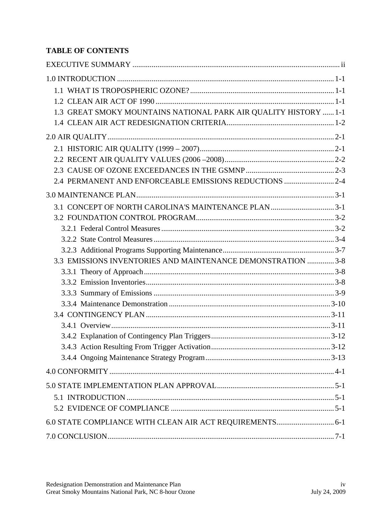## **TABLE OF CONTENTS**

| 1.3 GREAT SMOKY MOUNTAINS NATIONAL PARK AIR QUALITY HISTORY  1-1 |  |
|------------------------------------------------------------------|--|
|                                                                  |  |
|                                                                  |  |
|                                                                  |  |
|                                                                  |  |
|                                                                  |  |
| 2.4 PERMANENT AND ENFORCEABLE EMISSIONS REDUCTIONS  2-4          |  |
|                                                                  |  |
|                                                                  |  |
|                                                                  |  |
|                                                                  |  |
|                                                                  |  |
|                                                                  |  |
| 3.3 EMISSIONS INVENTORIES AND MAINTENANCE DEMONSTRATION  3-8     |  |
|                                                                  |  |
|                                                                  |  |
|                                                                  |  |
|                                                                  |  |
|                                                                  |  |
|                                                                  |  |
|                                                                  |  |
|                                                                  |  |
|                                                                  |  |
|                                                                  |  |
|                                                                  |  |
|                                                                  |  |
|                                                                  |  |
| 6.0 STATE COMPLIANCE WITH CLEAN AIR ACT REQUIREMENTS 6-1         |  |
|                                                                  |  |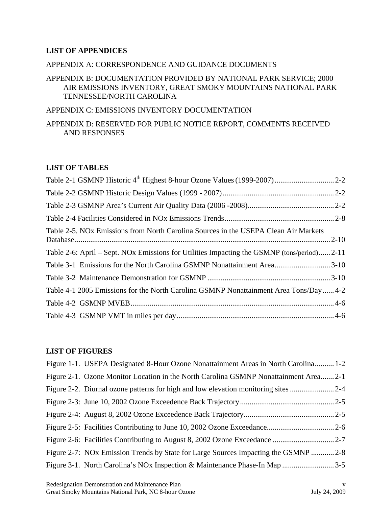#### **LIST OF APPENDICES**

#### APPENDIX A: CORRESPONDENCE AND GUIDANCE DOCUMENTS

#### APPENDIX B: DOCUMENTATION PROVIDED BY NATIONAL PARK SERVICE; 2000 AIR EMISSIONS INVENTORY, GREAT SMOKY MOUNTAINS NATIONAL PARK TENNESSEE/NORTH CAROLINA

#### APPENDIX C: EMISSIONS INVENTORY DOCUMENTATION

APPENDIX D: RESERVED FOR PUBLIC NOTICE REPORT, COMMENTS RECEIVED AND RESPONSES

#### **LIST OF TABLES**

| Table 2-5. NOx Emissions from North Carolina Sources in the USEPA Clean Air Markets         |  |
|---------------------------------------------------------------------------------------------|--|
| Table 2-6: April – Sept. NOx Emissions for Utilities Impacting the GSMNP (tons/period) 2-11 |  |
|                                                                                             |  |
|                                                                                             |  |
| Table 4-1 2005 Emissions for the North Carolina GSMNP Nonattainment Area Tons/Day4-2        |  |
|                                                                                             |  |
|                                                                                             |  |

#### **LIST OF FIGURES**

| Figure 1-1. USEPA Designated 8-Hour Ozone Nonattainment Areas in North Carolina 1-2  |  |
|--------------------------------------------------------------------------------------|--|
| Figure 2-1. Ozone Monitor Location in the North Carolina GSMNP Nonattainment Area2-1 |  |
|                                                                                      |  |
|                                                                                      |  |
|                                                                                      |  |
|                                                                                      |  |
|                                                                                      |  |
| Figure 2-7: NOx Emission Trends by State for Large Sources Impacting the GSMNP  2-8  |  |
|                                                                                      |  |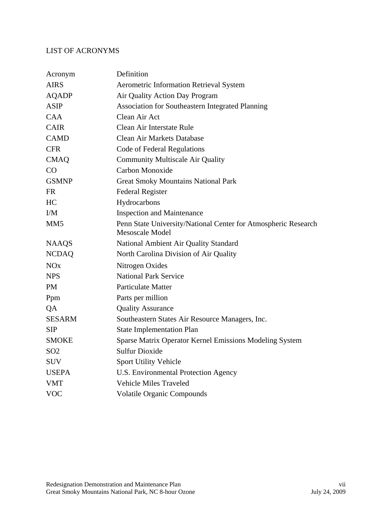## LIST OF ACRONYMS

| Acronym               | Definition                                                                               |
|-----------------------|------------------------------------------------------------------------------------------|
| <b>AIRS</b>           | <b>Aerometric Information Retrieval System</b>                                           |
| <b>AQADP</b>          | Air Quality Action Day Program                                                           |
| <b>ASIP</b>           | Association for Southeastern Integrated Planning                                         |
| <b>CAA</b>            | Clean Air Act                                                                            |
| <b>CAIR</b>           | Clean Air Interstate Rule                                                                |
| <b>CAMD</b>           | <b>Clean Air Markets Database</b>                                                        |
| <b>CFR</b>            | Code of Federal Regulations                                                              |
| <b>CMAQ</b>           | <b>Community Multiscale Air Quality</b>                                                  |
| CO                    | Carbon Monoxide                                                                          |
| <b>GSMNP</b>          | <b>Great Smoky Mountains National Park</b>                                               |
| <b>FR</b>             | <b>Federal Register</b>                                                                  |
| HC                    | Hydrocarbons                                                                             |
| I/M                   | <b>Inspection and Maintenance</b>                                                        |
| MM <sub>5</sub>       | Penn State University/National Center for Atmospheric Research<br><b>Mesoscale Model</b> |
| <b>NAAQS</b>          | National Ambient Air Quality Standard                                                    |
| <b>NCDAQ</b>          | North Carolina Division of Air Quality                                                   |
| <b>NO<sub>x</sub></b> | Nitrogen Oxides                                                                          |
| <b>NPS</b>            | <b>National Park Service</b>                                                             |
| <b>PM</b>             | <b>Particulate Matter</b>                                                                |
| Ppm                   | Parts per million                                                                        |
| QA                    | <b>Quality Assurance</b>                                                                 |
| <b>SESARM</b>         | Southeastern States Air Resource Managers, Inc.                                          |
| <b>SIP</b>            | <b>State Implementation Plan</b>                                                         |
| <b>SMOKE</b>          | Sparse Matrix Operator Kernel Emissions Modeling System                                  |
| SO <sub>2</sub>       | <b>Sulfur Dioxide</b>                                                                    |
| <b>SUV</b>            | Sport Utility Vehicle                                                                    |
| <b>USEPA</b>          | U.S. Environmental Protection Agency                                                     |
| <b>VMT</b>            | <b>Vehicle Miles Traveled</b>                                                            |
| <b>VOC</b>            | <b>Volatile Organic Compounds</b>                                                        |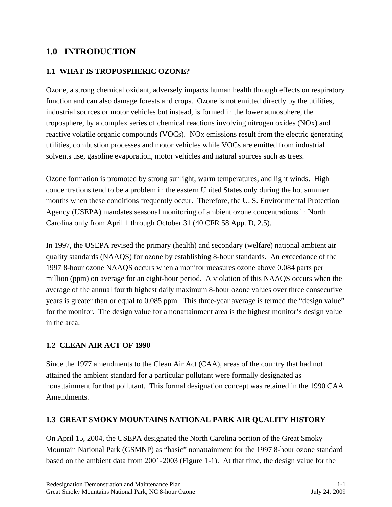## **1.0 INTRODUCTION**

#### **1.1 WHAT IS TROPOSPHERIC OZONE?**

Ozone, a strong chemical oxidant, adversely impacts human health through effects on respiratory function and can also damage forests and crops. Ozone is not emitted directly by the utilities, industrial sources or motor vehicles but instead, is formed in the lower atmosphere, the troposphere, by a complex series of chemical reactions involving nitrogen oxides (NOx) and reactive volatile organic compounds (VOCs). NOx emissions result from the electric generating utilities, combustion processes and motor vehicles while VOCs are emitted from industrial solvents use, gasoline evaporation, motor vehicles and natural sources such as trees.

Ozone formation is promoted by strong sunlight, warm temperatures, and light winds. High concentrations tend to be a problem in the eastern United States only during the hot summer months when these conditions frequently occur. Therefore, the U. S. Environmental Protection Agency (USEPA) mandates seasonal monitoring of ambient ozone concentrations in North Carolina only from April 1 through October 31 (40 CFR 58 App. D, 2.5).

In 1997, the USEPA revised the primary (health) and secondary (welfare) national ambient air quality standards (NAAQS) for ozone by establishing 8-hour standards. An exceedance of the 1997 8-hour ozone NAAQS occurs when a monitor measures ozone above 0.084 parts per million (ppm) on average for an eight-hour period. A violation of this NAAQS occurs when the average of the annual fourth highest daily maximum 8-hour ozone values over three consecutive years is greater than or equal to 0.085 ppm. This three-year average is termed the "design value" for the monitor. The design value for a nonattainment area is the highest monitor's design value in the area.

## **1.2 CLEAN AIR ACT OF 1990**

Since the 1977 amendments to the Clean Air Act (CAA), areas of the country that had not attained the ambient standard for a particular pollutant were formally designated as nonattainment for that pollutant. This formal designation concept was retained in the 1990 CAA Amendments.

#### **1.3 GREAT SMOKY MOUNTAINS NATIONAL PARK AIR QUALITY HISTORY**

On April 15, 2004, the USEPA designated the North Carolina portion of the Great Smoky Mountain National Park (GSMNP) as "basic" nonattainment for the 1997 8-hour ozone standard based on the ambient data from 2001-2003 (Figure 1-1). At that time, the design value for the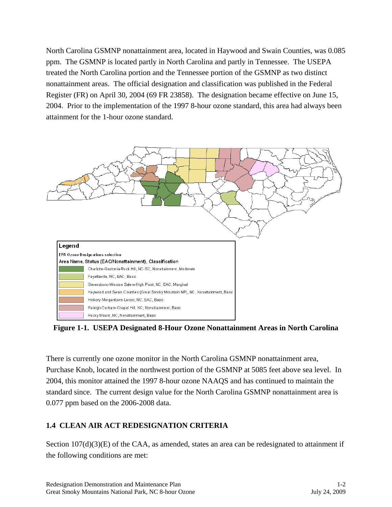North Carolina GSMNP nonattainment area, located in Haywood and Swain Counties, was 0.085 ppm. The GSMNP is located partly in North Carolina and partly in Tennessee. The USEPA treated the North Carolina portion and the Tennessee portion of the GSMNP as two distinct nonattainment areas. The official designation and classification was published in the Federal Register (FR) on April 30, 2004 (69 FR 23858). The designation became effective on June 15, 2004. Prior to the implementation of the 1997 8-hour ozone standard, this area had always been attainment for the 1-hour ozone standard.



**Figure 1-1. USEPA Designated 8-Hour Ozone Nonattainment Areas in North Carolina** 

There is currently one ozone monitor in the North Carolina GSMNP nonattainment area, Purchase Knob, located in the northwest portion of the GSMNP at 5085 feet above sea level. In 2004, this monitor attained the 1997 8-hour ozone NAAQS and has continued to maintain the standard since. The current design value for the North Carolina GSMNP nonattainment area is 0.077 ppm based on the 2006-2008 data.

## **1.4 CLEAN AIR ACT REDESIGNATION CRITERIA**

Section 107(d)(3)(E) of the CAA, as amended, states an area can be redesignated to attainment if the following conditions are met: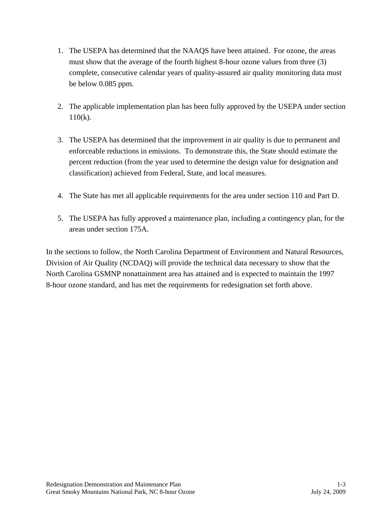- 1. The USEPA has determined that the NAAQS have been attained. For ozone, the areas must show that the average of the fourth highest 8-hour ozone values from three (3) complete, consecutive calendar years of quality-assured air quality monitoring data must be below 0.085 ppm.
- 2. The applicable implementation plan has been fully approved by the USEPA under section 110(k).
- 3. The USEPA has determined that the improvement in air quality is due to permanent and enforceable reductions in emissions. To demonstrate this, the State should estimate the percent reduction (from the year used to determine the design value for designation and classification) achieved from Federal, State, and local measures.
- 4. The State has met all applicable requirements for the area under section 110 and Part D.
- 5. The USEPA has fully approved a maintenance plan, including a contingency plan, for the areas under section 175A.

In the sections to follow, the North Carolina Department of Environment and Natural Resources, Division of Air Quality (NCDAQ) will provide the technical data necessary to show that the North Carolina GSMNP nonattainment area has attained and is expected to maintain the 1997 8-hour ozone standard, and has met the requirements for redesignation set forth above.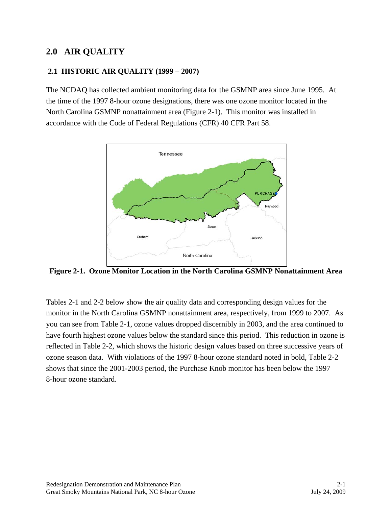## **2.0 AIR QUALITY**

#### **2.1 HISTORIC AIR QUALITY (1999 – 2007)**

The NCDAQ has collected ambient monitoring data for the GSMNP area since June 1995. At the time of the 1997 8-hour ozone designations, there was one ozone monitor located in the North Carolina GSMNP nonattainment area (Figure 2-1). This monitor was installed in accordance with the Code of Federal Regulations (CFR) 40 CFR Part 58.



**Figure 2-1. Ozone Monitor Location in the North Carolina GSMNP Nonattainment Area** 

Tables 2-1 and 2-2 below show the air quality data and corresponding design values for the monitor in the North Carolina GSMNP nonattainment area, respectively, from 1999 to 2007. As you can see from Table 2-1, ozone values dropped discernibly in 2003, and the area continued to have fourth highest ozone values below the standard since this period. This reduction in ozone is reflected in Table 2-2, which shows the historic design values based on three successive years of ozone season data. With violations of the 1997 8-hour ozone standard noted in bold, Table 2-2 shows that since the 2001-2003 period, the Purchase Knob monitor has been below the 1997 8-hour ozone standard.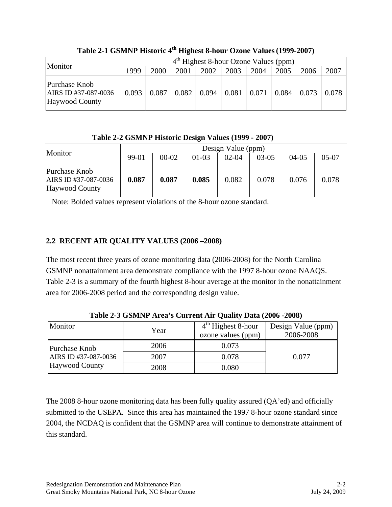| Monitor                                                 | $4th$ Highest 8-hour Ozone Values (ppm) |       |       |       |       |       |       |       |       |
|---------------------------------------------------------|-----------------------------------------|-------|-------|-------|-------|-------|-------|-------|-------|
|                                                         | 1999                                    | 2000  | 2001  | 2002  | 2003  | 2004  | 2005  | 2006  | 2007  |
| Purchase Knob<br>AIRS ID #37-087-0036<br>Haywood County | 0.093                                   | 0.087 | 0.082 | 0.094 | 0.081 | 0.071 | 0.084 | 0.073 | 0.078 |

Table 2-1 GSMNP Historic 4<sup>th</sup> Highest 8-hour Ozone Values (1999-2007)

**Table 2-2 GSMNP Historic Design Values (1999 - 2007)** 

| Monitor                                                        | Design Value (ppm) |           |         |           |         |         |         |
|----------------------------------------------------------------|--------------------|-----------|---------|-----------|---------|---------|---------|
|                                                                | 99-01              | $00 - 02$ | $01-03$ | $02 - 04$ | $03-05$ | $04-05$ | $05-07$ |
| Purchase Knob<br>AIRS ID #37-087-0036<br><b>Haywood County</b> | 0.087              | 0.087     | 0.085   | 0.082     | 0.078   | 0.076   | 0.078   |

Note: Bolded values represent violations of the 8-hour ozone standard.

## **2.2 RECENT AIR QUALITY VALUES (2006 –2008)**

The most recent three years of ozone monitoring data (2006-2008) for the North Carolina GSMNP nonattainment area demonstrate compliance with the 1997 8-hour ozone NAAQS. Table 2-3 is a summary of the fourth highest 8-hour average at the monitor in the nonattainment area for 2006-2008 period and the corresponding design value.

| Monitor                                | Year | $4th$ Highest 8-hour<br>ozone values (ppm) | Design Value (ppm)<br>2006-2008 |
|----------------------------------------|------|--------------------------------------------|---------------------------------|
| Purchase Knob                          | 2006 | 0.073                                      |                                 |
| AIRS ID #37-087-0036<br>Haywood County | 2007 | 0.078                                      | 0.077                           |
|                                        | 2008 | $0.080\,$                                  |                                 |

**Table 2-3 GSMNP Area's Current Air Quality Data (2006 -2008)** 

The 2008 8-hour ozone monitoring data has been fully quality assured (QA'ed) and officially submitted to the USEPA. Since this area has maintained the 1997 8-hour ozone standard since 2004, the NCDAQ is confident that the GSMNP area will continue to demonstrate attainment of this standard.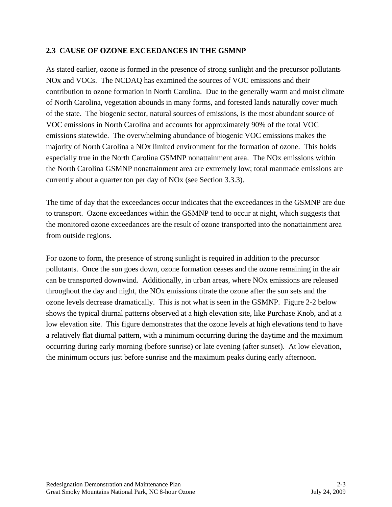#### **2.3 CAUSE OF OZONE EXCEEDANCES IN THE GSMNP**

As stated earlier, ozone is formed in the presence of strong sunlight and the precursor pollutants NOx and VOCs. The NCDAQ has examined the sources of VOC emissions and their contribution to ozone formation in North Carolina. Due to the generally warm and moist climate of North Carolina, vegetation abounds in many forms, and forested lands naturally cover much of the state. The biogenic sector, natural sources of emissions, is the most abundant source of VOC emissions in North Carolina and accounts for approximately 90% of the total VOC emissions statewide. The overwhelming abundance of biogenic VOC emissions makes the majority of North Carolina a NOx limited environment for the formation of ozone. This holds especially true in the North Carolina GSMNP nonattainment area. The NOx emissions within the North Carolina GSMNP nonattainment area are extremely low; total manmade emissions are currently about a quarter ton per day of NOx (see Section 3.3.3).

The time of day that the exceedances occur indicates that the exceedances in the GSMNP are due to transport. Ozone exceedances within the GSMNP tend to occur at night, which suggests that the monitored ozone exceedances are the result of ozone transported into the nonattainment area from outside regions.

For ozone to form, the presence of strong sunlight is required in addition to the precursor pollutants. Once the sun goes down, ozone formation ceases and the ozone remaining in the air can be transported downwind. Additionally, in urban areas, where NOx emissions are released throughout the day and night, the NOx emissions titrate the ozone after the sun sets and the ozone levels decrease dramatically. This is not what is seen in the GSMNP. Figure 2-2 below shows the typical diurnal patterns observed at a high elevation site, like Purchase Knob, and at a low elevation site. This figure demonstrates that the ozone levels at high elevations tend to have a relatively flat diurnal pattern, with a minimum occurring during the daytime and the maximum occurring during early morning (before sunrise) or late evening (after sunset). At low elevation, the minimum occurs just before sunrise and the maximum peaks during early afternoon.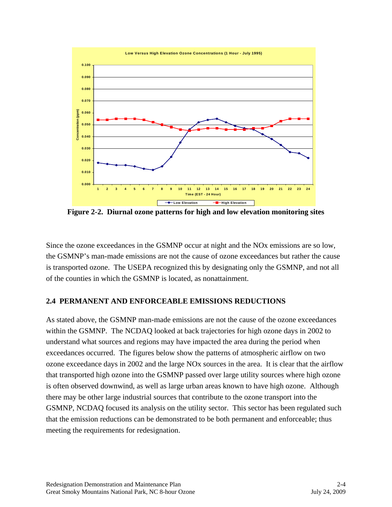

**Figure 2-2. Diurnal ozone patterns for high and low elevation monitoring sites** 

Since the ozone exceedances in the GSMNP occur at night and the NOx emissions are so low, the GSMNP's man-made emissions are not the cause of ozone exceedances but rather the cause is transported ozone. The USEPA recognized this by designating only the GSMNP, and not all of the counties in which the GSMNP is located, as nonattainment.

## **2.4 PERMANENT AND ENFORCEABLE EMISSIONS REDUCTIONS**

As stated above, the GSMNP man-made emissions are not the cause of the ozone exceedances within the GSMNP. The NCDAQ looked at back trajectories for high ozone days in 2002 to understand what sources and regions may have impacted the area during the period when exceedances occurred. The figures below show the patterns of atmospheric airflow on two ozone exceedance days in 2002 and the large NOx sources in the area. It is clear that the airflow that transported high ozone into the GSMNP passed over large utility sources where high ozone is often observed downwind, as well as large urban areas known to have high ozone. Although there may be other large industrial sources that contribute to the ozone transport into the GSMNP, NCDAQ focused its analysis on the utility sector. This sector has been regulated such that the emission reductions can be demonstrated to be both permanent and enforceable; thus meeting the requirements for redesignation.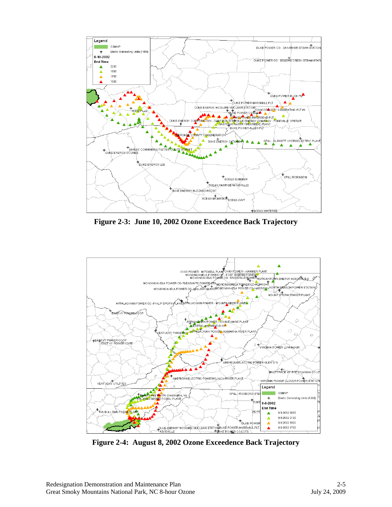

**Figure 2-3: June 10, 2002 Ozone Exceedence Back Trajectory** 



**Figure 2-4: August 8, 2002 Ozone Exceedence Back Trajectory**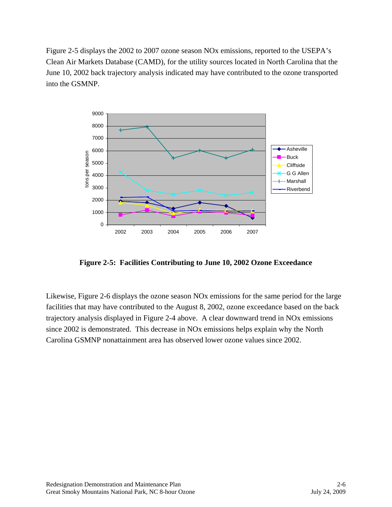Figure 2-5 displays the 2002 to 2007 ozone season NOx emissions, reported to the USEPA's Clean Air Markets Database (CAMD), for the utility sources located in North Carolina that the June 10, 2002 back trajectory analysis indicated may have contributed to the ozone transported into the GSMNP.



**Figure 2-5: Facilities Contributing to June 10, 2002 Ozone Exceedance** 

Likewise, Figure 2-6 displays the ozone season NOx emissions for the same period for the large facilities that may have contributed to the August 8, 2002, ozone exceedance based on the back trajectory analysis displayed in Figure 2-4 above. A clear downward trend in NOx emissions since 2002 is demonstrated. This decrease in NOx emissions helps explain why the North Carolina GSMNP nonattainment area has observed lower ozone values since 2002.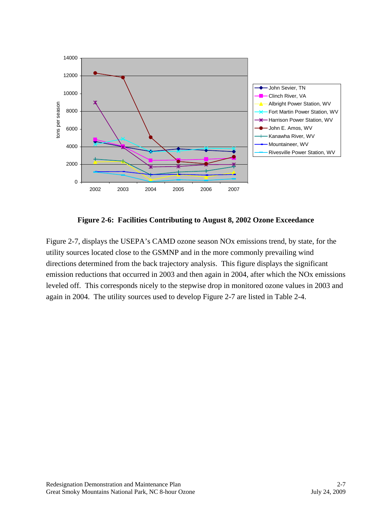

**Figure 2-6: Facilities Contributing to August 8, 2002 Ozone Exceedance** 

Figure 2-7, displays the USEPA's CAMD ozone season NOx emissions trend, by state, for the utility sources located close to the GSMNP and in the more commonly prevailing wind directions determined from the back trajectory analysis. This figure displays the significant emission reductions that occurred in 2003 and then again in 2004, after which the NOx emissions leveled off. This corresponds nicely to the stepwise drop in monitored ozone values in 2003 and again in 2004. The utility sources used to develop Figure 2-7 are listed in Table 2-4.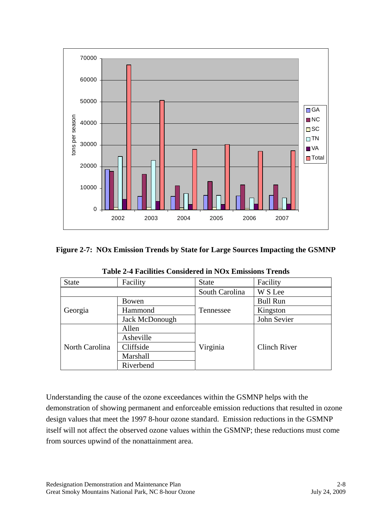

#### **Figure 2-7: NOx Emission Trends by State for Large Sources Impacting the GSMNP**

| Facility<br><b>State</b> |                | <b>State</b>   | Facility            |  |
|--------------------------|----------------|----------------|---------------------|--|
|                          |                | South Carolina | W S Lee             |  |
| Georgia                  | Bowen          |                | <b>Bull Run</b>     |  |
|                          | Hammond        | Tennessee      | Kingston            |  |
|                          | Jack McDonough |                | John Sevier         |  |
|                          | Allen          |                |                     |  |
|                          | Asheville      |                |                     |  |
| North Carolina           | Cliffside      | Virginia       | <b>Clinch River</b> |  |
|                          | Marshall       |                |                     |  |
|                          | Riverbend      |                |                     |  |

**Table 2-4 Facilities Considered in NOx Emissions Trends** 

Understanding the cause of the ozone exceedances within the GSMNP helps with the demonstration of showing permanent and enforceable emission reductions that resulted in ozone design values that meet the 1997 8-hour ozone standard. Emission reductions in the GSMNP itself will not affect the observed ozone values within the GSMNP; these reductions must come from sources upwind of the nonattainment area.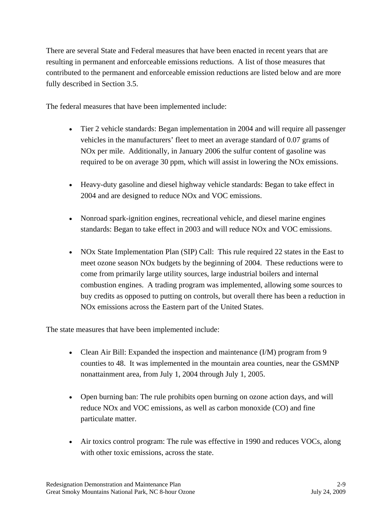There are several State and Federal measures that have been enacted in recent years that are resulting in permanent and enforceable emissions reductions. A list of those measures that contributed to the permanent and enforceable emission reductions are listed below and are more fully described in Section 3.5.

The federal measures that have been implemented include:

- Tier 2 vehicle standards: Began implementation in 2004 and will require all passenger vehicles in the manufacturers' fleet to meet an average standard of 0.07 grams of NOx per mile. Additionally, in January 2006 the sulfur content of gasoline was required to be on average 30 ppm, which will assist in lowering the NOx emissions.
- Heavy-duty gasoline and diesel highway vehicle standards: Began to take effect in 2004 and are designed to reduce NOx and VOC emissions.
- Nonroad spark-ignition engines, recreational vehicle, and diesel marine engines standards: Began to take effect in 2003 and will reduce NOx and VOC emissions.
- NOx State Implementation Plan (SIP) Call: This rule required 22 states in the East to meet ozone season NOx budgets by the beginning of 2004. These reductions were to come from primarily large utility sources, large industrial boilers and internal combustion engines. A trading program was implemented, allowing some sources to buy credits as opposed to putting on controls, but overall there has been a reduction in NOx emissions across the Eastern part of the United States.

The state measures that have been implemented include:

- Clean Air Bill: Expanded the inspection and maintenance (I/M) program from 9 counties to 48. It was implemented in the mountain area counties, near the GSMNP nonattainment area, from July 1, 2004 through July 1, 2005.
- Open burning ban: The rule prohibits open burning on ozone action days, and will reduce NOx and VOC emissions, as well as carbon monoxide (CO) and fine particulate matter.
- Air toxics control program: The rule was effective in 1990 and reduces VOCs, along with other toxic emissions, across the state.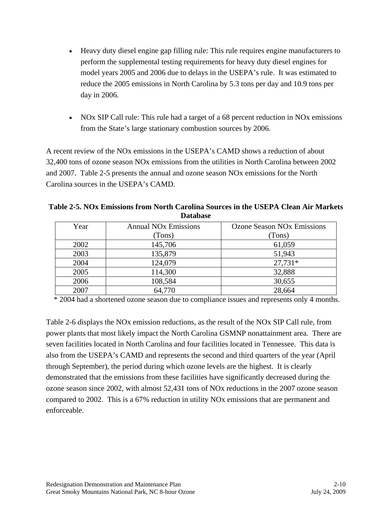- Heavy duty diesel engine gap filling rule: This rule requires engine manufacturers to perform the supplemental testing requirements for heavy duty diesel engines for model years 2005 and 2006 due to delays in the USEPA's rule. It was estimated to reduce the 2005 emissions in North Carolina by 5.3 tons per day and 10.9 tons per day in 2006.
- NOx SIP Call rule: This rule had a target of a 68 percent reduction in NO<sub>x</sub> emissions from the State's large stationary combustion sources by 2006.

A recent review of the NOx emissions in the USEPA's CAMD shows a reduction of about 32,400 tons of ozone season NOx emissions from the utilities in North Carolina between 2002 and 2007. Table 2-5 presents the annual and ozone season NOx emissions for the North Carolina sources in the USEPA's CAMD.

**Table 2-5. NOx Emissions from North Carolina Sources in the USEPA Clean Air Markets Database** 

| Year | <b>Annual NO<sub>x</sub></b> Emissions | <b>Ozone Season NO<sub>x</sub></b> Emissions |  |  |
|------|----------------------------------------|----------------------------------------------|--|--|
|      | (Tons)                                 | (Tons)                                       |  |  |
| 2002 | 145,706                                | 61,059                                       |  |  |
| 2003 | 135,879                                | 51,943                                       |  |  |
| 2004 | 124,079                                | $27,731*$                                    |  |  |
| 2005 | 114,300                                | 32,888                                       |  |  |
| 2006 | 108,584                                | 30,655                                       |  |  |
| 2007 | 64,770                                 | 28,664                                       |  |  |

\* 2004 had a shortened ozone season due to compliance issues and represents only 4 months.

Table 2-6 displays the NOx emission reductions, as the result of the NOx SIP Call rule, from power plants that most likely impact the North Carolina GSMNP nonattainment area. There are seven facilities located in North Carolina and four facilities located in Tennessee. This data is also from the USEPA's CAMD and represents the second and third quarters of the year (April through September), the period during which ozone levels are the highest. It is clearly demonstrated that the emissions from these facilities have significantly decreased during the ozone season since 2002, with almost 52,431 tons of NOx reductions in the 2007 ozone season compared to 2002. This is a 67% reduction in utility NOx emissions that are permanent and enforceable.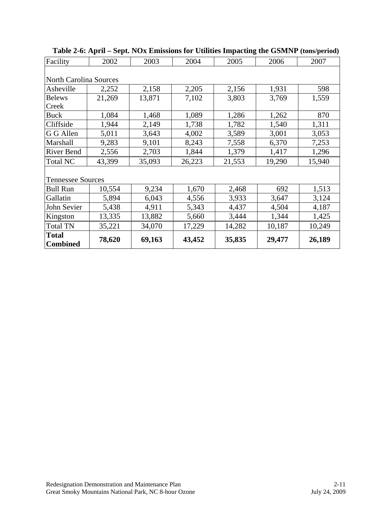| Facility                        | 2002   | 2003   | 2004   | 2005   | 2006   | 2007   |  |  |  |  |
|---------------------------------|--------|--------|--------|--------|--------|--------|--|--|--|--|
|                                 |        |        |        |        |        |        |  |  |  |  |
| <b>North Carolina Sources</b>   |        |        |        |        |        |        |  |  |  |  |
| Asheville                       | 2,252  | 2,158  | 2,205  | 2,156  | 1,931  | 598    |  |  |  |  |
| <b>Belews</b>                   | 21,269 | 13,871 | 7,102  | 3,803  | 3,769  | 1,559  |  |  |  |  |
| Creek                           |        |        |        |        |        |        |  |  |  |  |
| <b>Buck</b>                     | 1,084  | 1,468  | 1,089  | 1,286  | 1,262  | 870    |  |  |  |  |
| Cliffside                       | 1,944  | 2,149  | 1,738  | 1,782  | 1,540  | 1,311  |  |  |  |  |
| G G Allen                       | 5,011  | 3,643  | 4,002  | 3,589  | 3,001  | 3,053  |  |  |  |  |
| Marshall                        | 9,283  | 9,101  | 8,243  | 7,558  | 6,370  | 7,253  |  |  |  |  |
| <b>River Bend</b>               | 2,556  | 2,703  | 1,844  | 1,379  | 1,417  | 1,296  |  |  |  |  |
| <b>Total NC</b>                 | 43,399 | 35,093 | 26,223 | 21,553 | 19,290 | 15,940 |  |  |  |  |
|                                 |        |        |        |        |        |        |  |  |  |  |
| <b>Tennessee Sources</b>        |        |        |        |        |        |        |  |  |  |  |
| <b>Bull Run</b>                 | 10,554 | 9,234  | 1,670  | 2,468  | 692    | 1,513  |  |  |  |  |
| Gallatin                        | 5,894  | 6,043  | 4,556  | 3,933  | 3,647  | 3,124  |  |  |  |  |
| John Sevier                     | 5,438  | 4,911  | 5,343  | 4,437  | 4,504  | 4,187  |  |  |  |  |
| Kingston                        | 13,335 | 13,882 | 5,660  | 3,444  | 1,344  | 1,425  |  |  |  |  |
| <b>Total TN</b>                 | 35,221 | 34,070 | 17,229 | 14,282 | 10,187 | 10,249 |  |  |  |  |
| <b>Total</b><br><b>Combined</b> | 78,620 | 69,163 | 43,452 | 35,835 | 29,477 | 26,189 |  |  |  |  |

**Table 2-6: April – Sept. NOx Emissions for Utilities Impacting the GSMNP (tons/period)**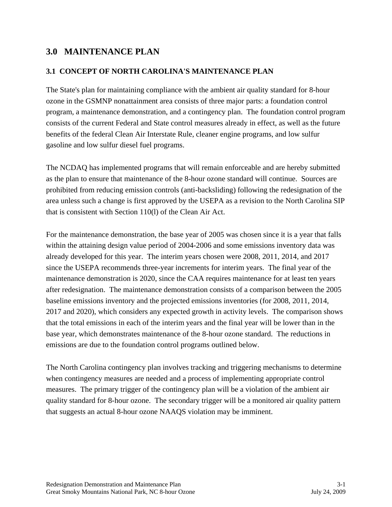## **3.0 MAINTENANCE PLAN**

#### **3.1 CONCEPT OF NORTH CAROLINA'S MAINTENANCE PLAN**

The State's plan for maintaining compliance with the ambient air quality standard for 8-hour ozone in the GSMNP nonattainment area consists of three major parts: a foundation control program, a maintenance demonstration, and a contingency plan. The foundation control program consists of the current Federal and State control measures already in effect, as well as the future benefits of the federal Clean Air Interstate Rule, cleaner engine programs, and low sulfur gasoline and low sulfur diesel fuel programs.

The NCDAQ has implemented programs that will remain enforceable and are hereby submitted as the plan to ensure that maintenance of the 8-hour ozone standard will continue. Sources are prohibited from reducing emission controls (anti-backsliding) following the redesignation of the area unless such a change is first approved by the USEPA as a revision to the North Carolina SIP that is consistent with Section 110(l) of the Clean Air Act.

For the maintenance demonstration, the base year of 2005 was chosen since it is a year that falls within the attaining design value period of 2004-2006 and some emissions inventory data was already developed for this year. The interim years chosen were 2008, 2011, 2014, and 2017 since the USEPA recommends three-year increments for interim years. The final year of the maintenance demonstration is 2020, since the CAA requires maintenance for at least ten years after redesignation. The maintenance demonstration consists of a comparison between the 2005 baseline emissions inventory and the projected emissions inventories (for 2008, 2011, 2014, 2017 and 2020), which considers any expected growth in activity levels. The comparison shows that the total emissions in each of the interim years and the final year will be lower than in the base year, which demonstrates maintenance of the 8-hour ozone standard. The reductions in emissions are due to the foundation control programs outlined below.

The North Carolina contingency plan involves tracking and triggering mechanisms to determine when contingency measures are needed and a process of implementing appropriate control measures. The primary trigger of the contingency plan will be a violation of the ambient air quality standard for 8-hour ozone. The secondary trigger will be a monitored air quality pattern that suggests an actual 8-hour ozone NAAQS violation may be imminent.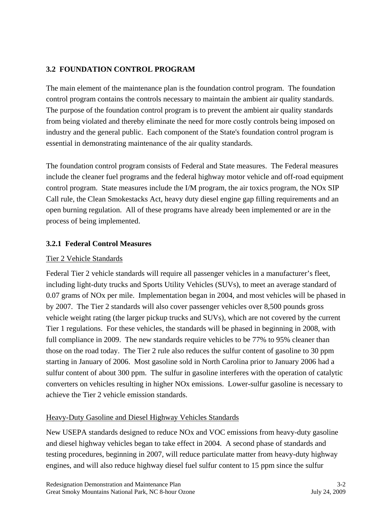## **3.2 FOUNDATION CONTROL PROGRAM**

The main element of the maintenance plan is the foundation control program. The foundation control program contains the controls necessary to maintain the ambient air quality standards. The purpose of the foundation control program is to prevent the ambient air quality standards from being violated and thereby eliminate the need for more costly controls being imposed on industry and the general public. Each component of the State's foundation control program is essential in demonstrating maintenance of the air quality standards.

The foundation control program consists of Federal and State measures. The Federal measures include the cleaner fuel programs and the federal highway motor vehicle and off-road equipment control program. State measures include the I/M program, the air toxics program, the NOx SIP Call rule, the Clean Smokestacks Act, heavy duty diesel engine gap filling requirements and an open burning regulation. All of these programs have already been implemented or are in the process of being implemented.

#### **3.2.1 Federal Control Measures**

#### Tier 2 Vehicle Standards

Federal Tier 2 vehicle standards will require all passenger vehicles in a manufacturer's fleet, including light-duty trucks and Sports Utility Vehicles (SUVs), to meet an average standard of 0.07 grams of NOx per mile. Implementation began in 2004, and most vehicles will be phased in by 2007. The Tier 2 standards will also cover passenger vehicles over 8,500 pounds gross vehicle weight rating (the larger pickup trucks and SUVs), which are not covered by the current Tier 1 regulations. For these vehicles, the standards will be phased in beginning in 2008, with full compliance in 2009. The new standards require vehicles to be 77% to 95% cleaner than those on the road today. The Tier 2 rule also reduces the sulfur content of gasoline to 30 ppm starting in January of 2006. Most gasoline sold in North Carolina prior to January 2006 had a sulfur content of about 300 ppm. The sulfur in gasoline interferes with the operation of catalytic converters on vehicles resulting in higher NOx emissions. Lower-sulfur gasoline is necessary to achieve the Tier 2 vehicle emission standards.

#### Heavy-Duty Gasoline and Diesel Highway Vehicles Standards

New USEPA standards designed to reduce NOx and VOC emissions from heavy-duty gasoline and diesel highway vehicles began to take effect in 2004. A second phase of standards and testing procedures, beginning in 2007, will reduce particulate matter from heavy-duty highway engines, and will also reduce highway diesel fuel sulfur content to 15 ppm since the sulfur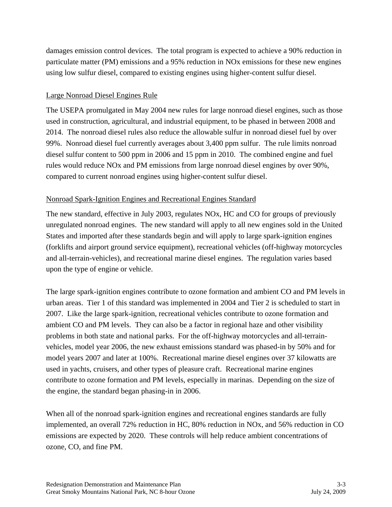damages emission control devices. The total program is expected to achieve a 90% reduction in particulate matter (PM) emissions and a 95% reduction in NOx emissions for these new engines using low sulfur diesel, compared to existing engines using higher-content sulfur diesel.

#### Large Nonroad Diesel Engines Rule

The USEPA promulgated in May 2004 new rules for large nonroad diesel engines, such as those used in construction, agricultural, and industrial equipment, to be phased in between 2008 and 2014. The nonroad diesel rules also reduce the allowable sulfur in nonroad diesel fuel by over 99%. Nonroad diesel fuel currently averages about 3,400 ppm sulfur. The rule limits nonroad diesel sulfur content to 500 ppm in 2006 and 15 ppm in 2010. The combined engine and fuel rules would reduce NOx and PM emissions from large nonroad diesel engines by over 90%, compared to current nonroad engines using higher-content sulfur diesel.

#### Nonroad Spark-Ignition Engines and Recreational Engines Standard

The new standard, effective in July 2003, regulates NOx, HC and CO for groups of previously unregulated nonroad engines. The new standard will apply to all new engines sold in the United States and imported after these standards begin and will apply to large spark-ignition engines (forklifts and airport ground service equipment), recreational vehicles (off-highway motorcycles and all-terrain-vehicles), and recreational marine diesel engines. The regulation varies based upon the type of engine or vehicle.

The large spark-ignition engines contribute to ozone formation and ambient CO and PM levels in urban areas. Tier 1 of this standard was implemented in 2004 and Tier 2 is scheduled to start in 2007. Like the large spark-ignition, recreational vehicles contribute to ozone formation and ambient CO and PM levels. They can also be a factor in regional haze and other visibility problems in both state and national parks. For the off-highway motorcycles and all-terrainvehicles, model year 2006, the new exhaust emissions standard was phased-in by 50% and for model years 2007 and later at 100%. Recreational marine diesel engines over 37 kilowatts are used in yachts, cruisers, and other types of pleasure craft. Recreational marine engines contribute to ozone formation and PM levels, especially in marinas. Depending on the size of the engine, the standard began phasing-in in 2006.

When all of the nonroad spark-ignition engines and recreational engines standards are fully implemented, an overall 72% reduction in HC, 80% reduction in NOx, and 56% reduction in CO emissions are expected by 2020. These controls will help reduce ambient concentrations of ozone, CO, and fine PM.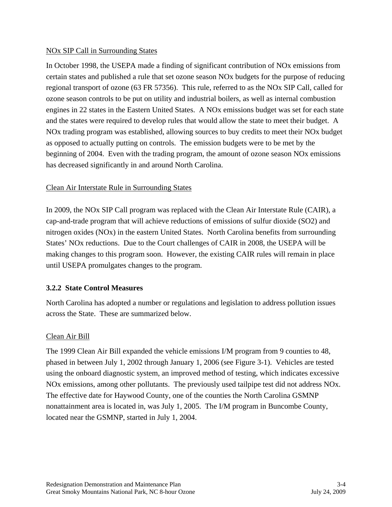#### NOx SIP Call in Surrounding States

In October 1998, the USEPA made a finding of significant contribution of NOx emissions from certain states and published a rule that set ozone season NOx budgets for the purpose of reducing regional transport of ozone (63 FR 57356). This rule, referred to as the NOx SIP Call, called for ozone season controls to be put on utility and industrial boilers, as well as internal combustion engines in 22 states in the Eastern United States. A NOx emissions budget was set for each state and the states were required to develop rules that would allow the state to meet their budget. A NOx trading program was established, allowing sources to buy credits to meet their NOx budget as opposed to actually putting on controls. The emission budgets were to be met by the beginning of 2004. Even with the trading program, the amount of ozone season NOx emissions has decreased significantly in and around North Carolina.

#### Clean Air Interstate Rule in Surrounding States

In 2009, the NOx SIP Call program was replaced with the Clean Air Interstate Rule (CAIR), a cap-and-trade program that will achieve reductions of emissions of sulfur dioxide (SO2) and nitrogen oxides (NOx) in the eastern United States. North Carolina benefits from surrounding States' NOx reductions. Due to the Court challenges of CAIR in 2008, the USEPA will be making changes to this program soon. However, the existing CAIR rules will remain in place until USEPA promulgates changes to the program.

#### **3.2.2 State Control Measures**

North Carolina has adopted a number or regulations and legislation to address pollution issues across the State. These are summarized below.

#### Clean Air Bill

The 1999 Clean Air Bill expanded the vehicle emissions I/M program from 9 counties to 48, phased in between July 1, 2002 through January 1, 2006 (see Figure 3-1). Vehicles are tested using the onboard diagnostic system, an improved method of testing, which indicates excessive NOx emissions, among other pollutants. The previously used tailpipe test did not address NOx. The effective date for Haywood County, one of the counties the North Carolina GSMNP nonattainment area is located in, was July 1, 2005. The I/M program in Buncombe County, located near the GSMNP, started in July 1, 2004.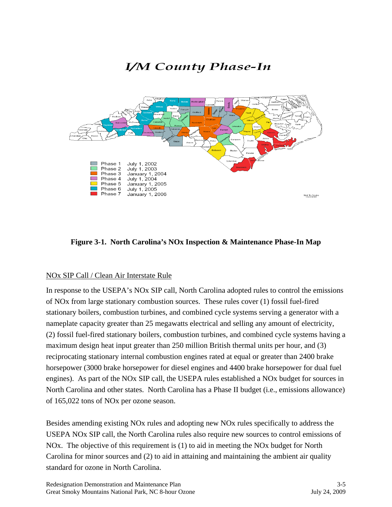

## **Figure 3-1. North Carolina's NOx Inspection & Maintenance Phase-In Map**

#### NOx SIP Call / Clean Air Interstate Rule

In response to the USEPA's NOx SIP call, North Carolina adopted rules to control the emissions of NOx from large stationary combustion sources. These rules cover (1) fossil fuel-fired stationary boilers, combustion turbines, and combined cycle systems serving a generator with a nameplate capacity greater than 25 megawatts electrical and selling any amount of electricity, (2) fossil fuel-fired stationary boilers, combustion turbines, and combined cycle systems having a maximum design heat input greater than 250 million British thermal units per hour, and (3) reciprocating stationary internal combustion engines rated at equal or greater than 2400 brake horsepower (3000 brake horsepower for diesel engines and 4400 brake horsepower for dual fuel engines). As part of the NOx SIP call, the USEPA rules established a NOx budget for sources in North Carolina and other states. North Carolina has a Phase II budget (i.e., emissions allowance) of 165,022 tons of NOx per ozone season.

Besides amending existing NOx rules and adopting new NOx rules specifically to address the USEPA NOx SIP call, the North Carolina rules also require new sources to control emissions of NOx. The objective of this requirement is (1) to aid in meeting the NOx budget for North Carolina for minor sources and (2) to aid in attaining and maintaining the ambient air quality standard for ozone in North Carolina.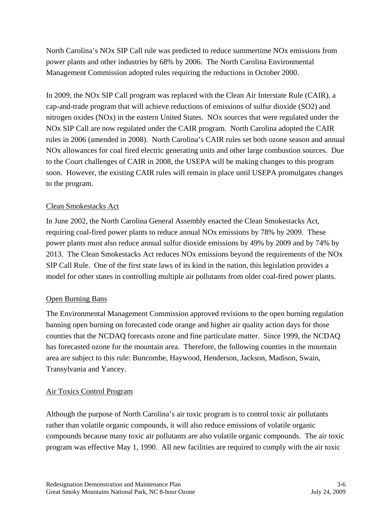North Carolina's NOx SIP Call rule was predicted to reduce summertime NOx emissions from power plants and other industries by 68% by 2006. The North Carolina Environmental Management Commission adopted rules requiring the reductions in October 2000.

In 2009, the NOx SIP Call program was replaced with the Clean Air Interstate Rule (CAIR), a cap-and-trade program that will achieve reductions of emissions of sulfur dioxide (SO2) and nitrogen oxides (NOx) in the eastern United States. NOx sources that were regulated under the NOx SIP Call are now regulated under the CAIR program. North Carolina adopted the CAIR rules in 2006 (amended in 2008). North Carolina's CAIR rules set both ozone season and annual NOx allowances for coal fired electric generating units and other large combustion sources. Due to the Court challenges of CAIR in 2008, the USEPA will be making changes to this program soon. However, the existing CAIR rules will remain in place until USEPA promulgates changes to the program.

#### Clean Smokestacks Act

In June 2002, the North Carolina General Assembly enacted the Clean Smokestacks Act, requiring coal-fired power plants to reduce annual NOx emissions by 78% by 2009. These power plants must also reduce annual sulfur dioxide emissions by 49% by 2009 and by 74% by 2013. The Clean Smokestacks Act reduces NOx emissions beyond the requirements of the NOx SIP Call Rule. One of the first state laws of its kind in the nation, this legislation provides a model for other states in controlling multiple air pollutants from older coal-fired power plants.

## Open Burning Bans

The Environmental Management Commission approved revisions to the open burning regulation banning open burning on forecasted code orange and higher air quality action days for those counties that the NCDAQ forecasts ozone and fine particulate matter. Since 1999, the NCDAQ has forecasted ozone for the mountain area. Therefore, the following counties in the mountain area are subject to this rule: Buncombe, Haywood, Henderson, Jackson, Madison, Swain, Transylvania and Yancey.

#### Air Toxics Control Program

Although the purpose of North Carolina's air toxic program is to control toxic air pollutants rather than volatile organic compounds, it will also reduce emissions of volatile organic compounds because many toxic air pollutants are also volatile organic compounds. The air toxic program was effective May 1, 1990. All new facilities are required to comply with the air toxic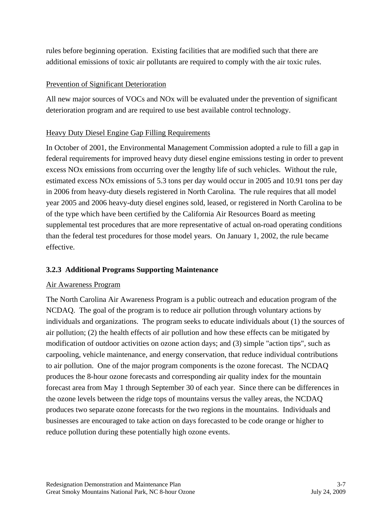rules before beginning operation. Existing facilities that are modified such that there are additional emissions of toxic air pollutants are required to comply with the air toxic rules.

#### Prevention of Significant Deterioration

All new major sources of VOCs and NOx will be evaluated under the prevention of significant deterioration program and are required to use best available control technology.

## Heavy Duty Diesel Engine Gap Filling Requirements

In October of 2001, the Environmental Management Commission adopted a rule to fill a gap in federal requirements for improved heavy duty diesel engine emissions testing in order to prevent excess NOx emissions from occurring over the lengthy life of such vehicles. Without the rule, estimated excess NOx emissions of 5.3 tons per day would occur in 2005 and 10.91 tons per day in 2006 from heavy-duty diesels registered in North Carolina. The rule requires that all model year 2005 and 2006 heavy-duty diesel engines sold, leased, or registered in North Carolina to be of the type which have been certified by the California Air Resources Board as meeting supplemental test procedures that are more representative of actual on-road operating conditions than the federal test procedures for those model years. On January 1, 2002, the rule became effective.

## **3.2.3 Additional Programs Supporting Maintenance**

#### Air Awareness Program

The North Carolina Air Awareness Program is a public outreach and education program of the NCDAQ. The goal of the program is to reduce air pollution through voluntary actions by individuals and organizations. The program seeks to educate individuals about (1) the sources of air pollution; (2) the health effects of air pollution and how these effects can be mitigated by modification of outdoor activities on ozone action days; and (3) simple "action tips", such as carpooling, vehicle maintenance, and energy conservation, that reduce individual contributions to air pollution. One of the major program components is the ozone forecast. The NCDAQ produces the 8-hour ozone forecasts and corresponding air quality index for the mountain forecast area from May 1 through September 30 of each year. Since there can be differences in the ozone levels between the ridge tops of mountains versus the valley areas, the NCDAQ produces two separate ozone forecasts for the two regions in the mountains. Individuals and businesses are encouraged to take action on days forecasted to be code orange or higher to reduce pollution during these potentially high ozone events.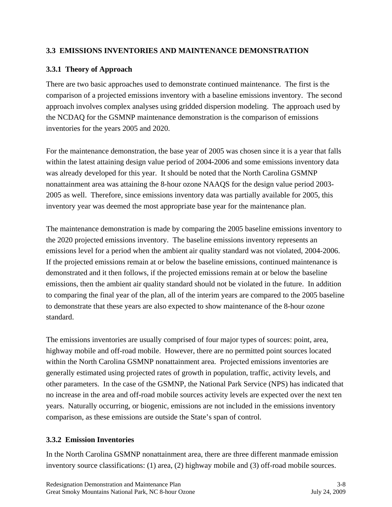#### **3.3 EMISSIONS INVENTORIES AND MAINTENANCE DEMONSTRATION**

#### **3.3.1 Theory of Approach**

There are two basic approaches used to demonstrate continued maintenance. The first is the comparison of a projected emissions inventory with a baseline emissions inventory. The second approach involves complex analyses using gridded dispersion modeling. The approach used by the NCDAQ for the GSMNP maintenance demonstration is the comparison of emissions inventories for the years 2005 and 2020.

For the maintenance demonstration, the base year of 2005 was chosen since it is a year that falls within the latest attaining design value period of 2004-2006 and some emissions inventory data was already developed for this year. It should be noted that the North Carolina GSMNP nonattainment area was attaining the 8-hour ozone NAAQS for the design value period 2003- 2005 as well. Therefore, since emissions inventory data was partially available for 2005, this inventory year was deemed the most appropriate base year for the maintenance plan.

The maintenance demonstration is made by comparing the 2005 baseline emissions inventory to the 2020 projected emissions inventory. The baseline emissions inventory represents an emissions level for a period when the ambient air quality standard was not violated, 2004-2006. If the projected emissions remain at or below the baseline emissions, continued maintenance is demonstrated and it then follows, if the projected emissions remain at or below the baseline emissions, then the ambient air quality standard should not be violated in the future. In addition to comparing the final year of the plan, all of the interim years are compared to the 2005 baseline to demonstrate that these years are also expected to show maintenance of the 8-hour ozone standard.

The emissions inventories are usually comprised of four major types of sources: point, area, highway mobile and off-road mobile. However, there are no permitted point sources located within the North Carolina GSMNP nonattainment area. Projected emissions inventories are generally estimated using projected rates of growth in population, traffic, activity levels, and other parameters. In the case of the GSMNP, the National Park Service (NPS) has indicated that no increase in the area and off-road mobile sources activity levels are expected over the next ten years. Naturally occurring, or biogenic, emissions are not included in the emissions inventory comparison, as these emissions are outside the State's span of control.

#### **3.3.2 Emission Inventories**

In the North Carolina GSMNP nonattainment area, there are three different manmade emission inventory source classifications: (1) area, (2) highway mobile and (3) off-road mobile sources.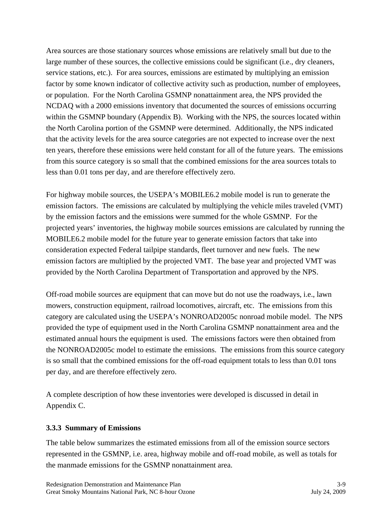Area sources are those stationary sources whose emissions are relatively small but due to the large number of these sources, the collective emissions could be significant (i.e., dry cleaners, service stations, etc.). For area sources, emissions are estimated by multiplying an emission factor by some known indicator of collective activity such as production, number of employees, or population. For the North Carolina GSMNP nonattainment area, the NPS provided the NCDAQ with a 2000 emissions inventory that documented the sources of emissions occurring within the GSMNP boundary (Appendix B). Working with the NPS, the sources located within the North Carolina portion of the GSMNP were determined. Additionally, the NPS indicated that the activity levels for the area source categories are not expected to increase over the next ten years, therefore these emissions were held constant for all of the future years. The emissions from this source category is so small that the combined emissions for the area sources totals to less than 0.01 tons per day, and are therefore effectively zero.

For highway mobile sources, the USEPA's MOBILE6.2 mobile model is run to generate the emission factors. The emissions are calculated by multiplying the vehicle miles traveled (VMT) by the emission factors and the emissions were summed for the whole GSMNP. For the projected years' inventories, the highway mobile sources emissions are calculated by running the MOBILE6.2 mobile model for the future year to generate emission factors that take into consideration expected Federal tailpipe standards, fleet turnover and new fuels. The new emission factors are multiplied by the projected VMT. The base year and projected VMT was provided by the North Carolina Department of Transportation and approved by the NPS.

Off-road mobile sources are equipment that can move but do not use the roadways, i.e., lawn mowers, construction equipment, railroad locomotives, aircraft, etc. The emissions from this category are calculated using the USEPA's NONROAD2005c nonroad mobile model. The NPS provided the type of equipment used in the North Carolina GSMNP nonattainment area and the estimated annual hours the equipment is used. The emissions factors were then obtained from the NONROAD2005c model to estimate the emissions. The emissions from this source category is so small that the combined emissions for the off-road equipment totals to less than 0.01 tons per day, and are therefore effectively zero.

A complete description of how these inventories were developed is discussed in detail in Appendix C.

## **3.3.3 Summary of Emissions**

The table below summarizes the estimated emissions from all of the emission source sectors represented in the GSMNP, i.e. area, highway mobile and off-road mobile, as well as totals for the manmade emissions for the GSMNP nonattainment area.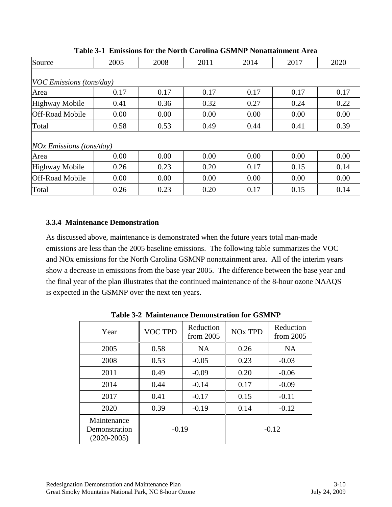| Source                     | 2005 | 2008 | 2011 | 2014 | 2017 | 2020 |  |  |  |
|----------------------------|------|------|------|------|------|------|--|--|--|
|                            |      |      |      |      |      |      |  |  |  |
| VOC Emissions (tons/day)   |      |      |      |      |      |      |  |  |  |
| Area                       | 0.17 | 0.17 | 0.17 | 0.17 | 0.17 | 0.17 |  |  |  |
| <b>Highway Mobile</b>      | 0.41 | 0.36 | 0.32 | 0.27 | 0.24 | 0.22 |  |  |  |
| <b>Off-Road Mobile</b>     | 0.00 | 0.00 | 0.00 | 0.00 | 0.00 | 0.00 |  |  |  |
| Total                      | 0.58 | 0.53 | 0.49 | 0.44 | 0.41 | 0.39 |  |  |  |
|                            |      |      |      |      |      |      |  |  |  |
| $NOx$ Emissions (tons/day) |      |      |      |      |      |      |  |  |  |
| Area                       | 0.00 | 0.00 | 0.00 | 0.00 | 0.00 | 0.00 |  |  |  |
| <b>Highway Mobile</b>      | 0.26 | 0.23 | 0.20 | 0.17 | 0.15 | 0.14 |  |  |  |
| <b>Off-Road Mobile</b>     | 0.00 | 0.00 | 0.00 | 0.00 | 0.00 | 0.00 |  |  |  |
| Total                      | 0.26 | 0.23 | 0.20 | 0.17 | 0.15 | 0.14 |  |  |  |

**Table 3-1 Emissions for the North Carolina GSMNP Nonattainment Area** 

#### **3.3.4 Maintenance Demonstration**

As discussed above, maintenance is demonstrated when the future years total man-made emissions are less than the 2005 baseline emissions. The following table summarizes the VOC and NOx emissions for the North Carolina GSMNP nonattainment area. All of the interim years show a decrease in emissions from the base year 2005. The difference between the base year and the final year of the plan illustrates that the continued maintenance of the 8-hour ozone NAAQS is expected in the GSMNP over the next ten years.

| Year                                          | <b>VOC TPD</b> | Reduction<br>from $2005$ | <b>NO<sub>x</sub></b> TPD | Reduction<br>from $2005$ |
|-----------------------------------------------|----------------|--------------------------|---------------------------|--------------------------|
| 2005                                          | 0.58           | <b>NA</b>                | 0.26                      | <b>NA</b>                |
| 2008                                          | 0.53           | $-0.05$                  | 0.23                      | $-0.03$                  |
| 2011                                          | 0.49           | $-0.09$                  | 0.20                      | $-0.06$                  |
| 2014                                          | 0.44           | $-0.14$                  | 0.17                      | $-0.09$                  |
| 2017                                          | 0.41           | $-0.17$                  | 0.15                      | $-0.11$                  |
| 2020                                          | 0.39           | $-0.19$                  | 0.14                      | $-0.12$                  |
| Maintenance<br>Demonstration<br>$(2020-2005)$ | $-0.19$        |                          | $-0.12$                   |                          |

**Table 3-2 Maintenance Demonstration for GSMNP**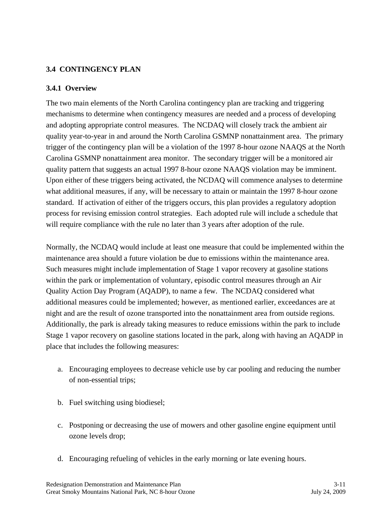## **3.4 CONTINGENCY PLAN**

#### **3.4.1 Overview**

The two main elements of the North Carolina contingency plan are tracking and triggering mechanisms to determine when contingency measures are needed and a process of developing and adopting appropriate control measures. The NCDAQ will closely track the ambient air quality year-to-year in and around the North Carolina GSMNP nonattainment area. The primary trigger of the contingency plan will be a violation of the 1997 8-hour ozone NAAQS at the North Carolina GSMNP nonattainment area monitor. The secondary trigger will be a monitored air quality pattern that suggests an actual 1997 8-hour ozone NAAQS violation may be imminent. Upon either of these triggers being activated, the NCDAQ will commence analyses to determine what additional measures, if any, will be necessary to attain or maintain the 1997 8-hour ozone standard. If activation of either of the triggers occurs, this plan provides a regulatory adoption process for revising emission control strategies. Each adopted rule will include a schedule that will require compliance with the rule no later than 3 years after adoption of the rule.

Normally, the NCDAQ would include at least one measure that could be implemented within the maintenance area should a future violation be due to emissions within the maintenance area. Such measures might include implementation of Stage 1 vapor recovery at gasoline stations within the park or implementation of voluntary, episodic control measures through an Air Quality Action Day Program (AQADP), to name a few. The NCDAQ considered what additional measures could be implemented; however, as mentioned earlier, exceedances are at night and are the result of ozone transported into the nonattainment area from outside regions. Additionally, the park is already taking measures to reduce emissions within the park to include Stage 1 vapor recovery on gasoline stations located in the park, along with having an AQADP in place that includes the following measures:

- a. Encouraging employees to decrease vehicle use by car pooling and reducing the number of non-essential trips;
- b. Fuel switching using biodiesel;
- c. Postponing or decreasing the use of mowers and other gasoline engine equipment until ozone levels drop;
- d. Encouraging refueling of vehicles in the early morning or late evening hours.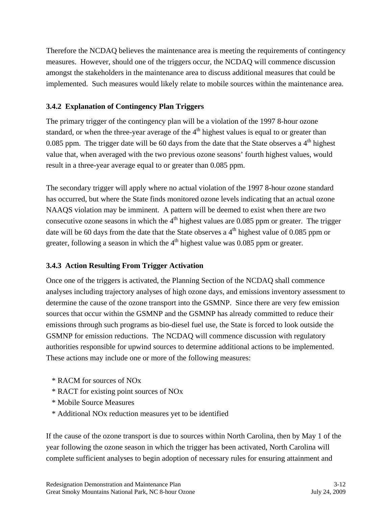Therefore the NCDAQ believes the maintenance area is meeting the requirements of contingency measures. However, should one of the triggers occur, the NCDAQ will commence discussion amongst the stakeholders in the maintenance area to discuss additional measures that could be implemented. Such measures would likely relate to mobile sources within the maintenance area.

## **3.4.2 Explanation of Contingency Plan Triggers**

The primary trigger of the contingency plan will be a violation of the 1997 8-hour ozone standard, or when the three-year average of the  $4<sup>th</sup>$  highest values is equal to or greater than 0.085 ppm. The trigger date will be 60 days from the date that the State observes a  $4<sup>th</sup>$  highest value that, when averaged with the two previous ozone seasons' fourth highest values, would result in a three-year average equal to or greater than 0.085 ppm.

The secondary trigger will apply where no actual violation of the 1997 8-hour ozone standard has occurred, but where the State finds monitored ozone levels indicating that an actual ozone NAAQS violation may be imminent. A pattern will be deemed to exist when there are two consecutive ozone seasons in which the  $4<sup>th</sup>$  highest values are 0.085 ppm or greater. The trigger date will be 60 days from the date that the State observes a  $4<sup>th</sup>$  highest value of 0.085 ppm or greater, following a season in which the  $4<sup>th</sup>$  highest value was 0.085 ppm or greater.

## **3.4.3 Action Resulting From Trigger Activation**

Once one of the triggers is activated, the Planning Section of the NCDAQ shall commence analyses including trajectory analyses of high ozone days, and emissions inventory assessment to determine the cause of the ozone transport into the GSMNP. Since there are very few emission sources that occur within the GSMNP and the GSMNP has already committed to reduce their emissions through such programs as bio-diesel fuel use, the State is forced to look outside the GSMNP for emission reductions. The NCDAQ will commence discussion with regulatory authorities responsible for upwind sources to determine additional actions to be implemented. These actions may include one or more of the following measures:

- \* RACM for sources of NOx
- \* RACT for existing point sources of NOx
- \* Mobile Source Measures
- \* Additional NOx reduction measures yet to be identified

If the cause of the ozone transport is due to sources within North Carolina, then by May 1 of the year following the ozone season in which the trigger has been activated, North Carolina will complete sufficient analyses to begin adoption of necessary rules for ensuring attainment and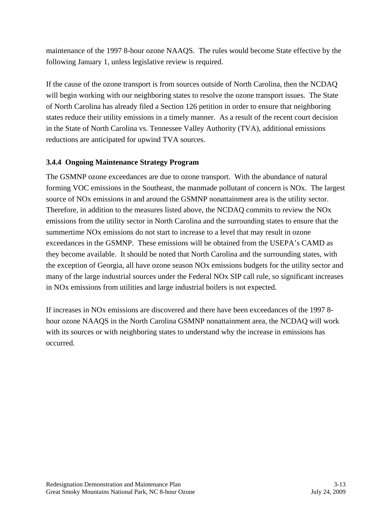maintenance of the 1997 8-hour ozone NAAQS. The rules would become State effective by the following January 1, unless legislative review is required.

If the cause of the ozone transport is from sources outside of North Carolina, then the NCDAQ will begin working with our neighboring states to resolve the ozone transport issues. The State of North Carolina has already filed a Section 126 petition in order to ensure that neighboring states reduce their utility emissions in a timely manner. As a result of the recent court decision in the State of North Carolina vs. Tennessee Valley Authority (TVA), additional emissions reductions are anticipated for upwind TVA sources.

## **3.4.4 Ongoing Maintenance Strategy Program**

The GSMNP ozone exceedances are due to ozone transport. With the abundance of natural forming VOC emissions in the Southeast, the manmade pollutant of concern is NOx. The largest source of NOx emissions in and around the GSMNP nonattainment area is the utility sector. Therefore, in addition to the measures listed above, the NCDAQ commits to review the NOx emissions from the utility sector in North Carolina and the surrounding states to ensure that the summertime NOx emissions do not start to increase to a level that may result in ozone exceedances in the GSMNP. These emissions will be obtained from the USEPA's CAMD as they become available. It should be noted that North Carolina and the surrounding states, with the exception of Georgia, all have ozone season NOx emissions budgets for the utility sector and many of the large industrial sources under the Federal NOx SIP call rule, so significant increases in NOx emissions from utilities and large industrial boilers is not expected.

If increases in NOx emissions are discovered and there have been exceedances of the 1997 8 hour ozone NAAQS in the North Carolina GSMNP nonattainment area, the NCDAQ will work with its sources or with neighboring states to understand why the increase in emissions has occurred.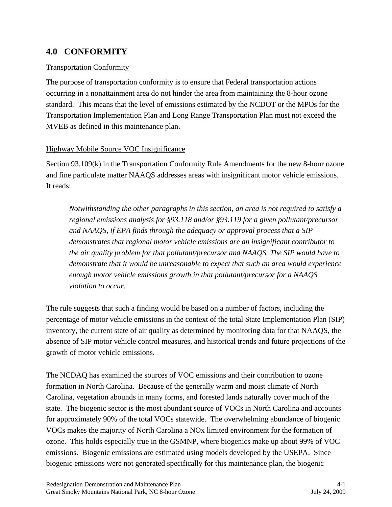## **4.0 CONFORMITY**

#### Transportation Conformity

The purpose of transportation conformity is to ensure that Federal transportation actions occurring in a nonattainment area do not hinder the area from maintaining the 8-hour ozone standard. This means that the level of emissions estimated by the NCDOT or the MPOs for the Transportation Implementation Plan and Long Range Transportation Plan must not exceed the MVEB as defined in this maintenance plan.

#### Highway Mobile Source VOC Insignificance

Section 93.109(k) in the Transportation Conformity Rule Amendments for the new 8-hour ozone and fine particulate matter NAAQS addresses areas with insignificant motor vehicle emissions. It reads:

*Notwithstanding the other paragraphs in this section, an area is not required to satisfy a regional emissions analysis for §93.118 and/or §93.119 for a given pollutant/precursor and NAAQS, if EPA finds through the adequacy or approval process that a SIP demonstrates that regional motor vehicle emissions are an insignificant contributor to the air quality problem for that pollutant/precursor and NAAQS. The SIP would have to demonstrate that it would be unreasonable to expect that such an area would experience enough motor vehicle emissions growth in that pollutant/precursor for a NAAQS violation to occur.* 

The rule suggests that such a finding would be based on a number of factors, including the percentage of motor vehicle emissions in the context of the total State Implementation Plan (SIP) inventory, the current state of air quality as determined by monitoring data for that NAAQS, the absence of SIP motor vehicle control measures, and historical trends and future projections of the growth of motor vehicle emissions.

The NCDAQ has examined the sources of VOC emissions and their contribution to ozone formation in North Carolina. Because of the generally warm and moist climate of North Carolina, vegetation abounds in many forms, and forested lands naturally cover much of the state. The biogenic sector is the most abundant source of VOCs in North Carolina and accounts for approximately 90% of the total VOCs statewide. The overwhelming abundance of biogenic VOCs makes the majority of North Carolina a NOx limited environment for the formation of ozone. This holds especially true in the GSMNP, where biogenics make up about 99% of VOC emissions. Biogenic emissions are estimated using models developed by the USEPA. Since biogenic emissions were not generated specifically for this maintenance plan, the biogenic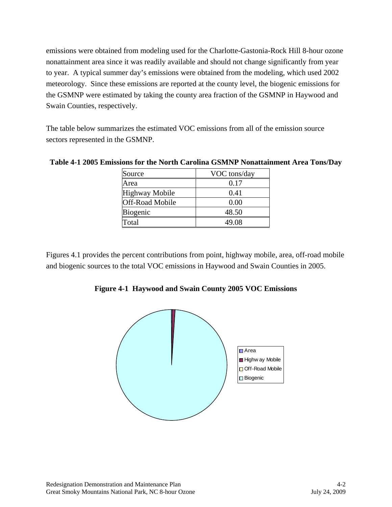emissions were obtained from modeling used for the Charlotte-Gastonia-Rock Hill 8-hour ozone nonattainment area since it was readily available and should not change significantly from year to year. A typical summer day's emissions were obtained from the modeling, which used 2002 meteorology. Since these emissions are reported at the county level, the biogenic emissions for the GSMNP were estimated by taking the county area fraction of the GSMNP in Haywood and Swain Counties, respectively.

The table below summarizes the estimated VOC emissions from all of the emission source sectors represented in the GSMNP.

| Source                 | VOC tons/day |
|------------------------|--------------|
| Area                   | 0.17         |
| Highway Mobile         | 0.41         |
| <b>Off-Road Mobile</b> | 0.00         |
| Biogenic               | 48.50        |
| Total                  | 49.08        |

**Table 4-1 2005 Emissions for the North Carolina GSMNP Nonattainment Area Tons/Day** 

Figures 4.1 provides the percent contributions from point, highway mobile, area, off-road mobile and biogenic sources to the total VOC emissions in Haywood and Swain Counties in 2005.

**Figure 4-1 Haywood and Swain County 2005 VOC Emissions** 

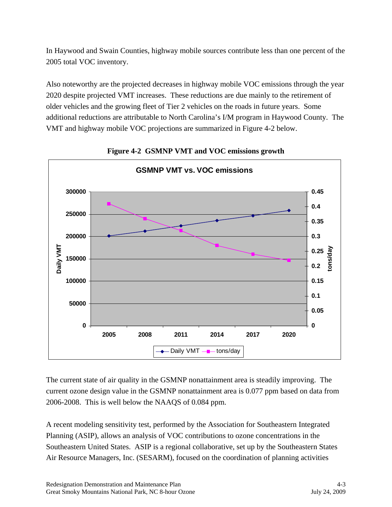In Haywood and Swain Counties, highway mobile sources contribute less than one percent of the 2005 total VOC inventory.

Also noteworthy are the projected decreases in highway mobile VOC emissions through the year 2020 despite projected VMT increases. These reductions are due mainly to the retirement of older vehicles and the growing fleet of Tier 2 vehicles on the roads in future years. Some additional reductions are attributable to North Carolina's I/M program in Haywood County. The VMT and highway mobile VOC projections are summarized in Figure 4-2 below.



**Figure 4-2 GSMNP VMT and VOC emissions growth** 

The current state of air quality in the GSMNP nonattainment area is steadily improving. The current ozone design value in the GSMNP nonattainment area is 0.077 ppm based on data from 2006-2008. This is well below the NAAQS of 0.084 ppm.

A recent modeling sensitivity test, performed by the Association for Southeastern Integrated Planning (ASIP), allows an analysis of VOC contributions to ozone concentrations in the Southeastern United States. ASIP is a regional collaborative, set up by the Southeastern States Air Resource Managers, Inc. (SESARM), focused on the coordination of planning activities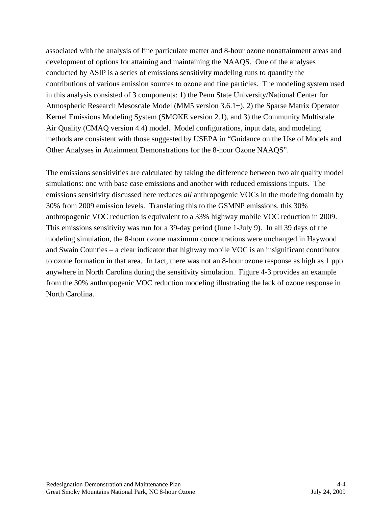associated with the analysis of fine particulate matter and 8-hour ozone nonattainment areas and development of options for attaining and maintaining the NAAQS. One of the analyses conducted by ASIP is a series of emissions sensitivity modeling runs to quantify the contributions of various emission sources to ozone and fine particles. The modeling system used in this analysis consisted of 3 components: 1) the Penn State University/National Center for Atmospheric Research Mesoscale Model (MM5 version 3.6.1+), 2) the Sparse Matrix Operator Kernel Emissions Modeling System (SMOKE version 2.1), and 3) the Community Multiscale Air Quality (CMAQ version 4.4) model. Model configurations, input data, and modeling methods are consistent with those suggested by USEPA in "Guidance on the Use of Models and Other Analyses in Attainment Demonstrations for the 8-hour Ozone NAAQS".

The emissions sensitivities are calculated by taking the difference between two air quality model simulations: one with base case emissions and another with reduced emissions inputs. The emissions sensitivity discussed here reduces *all* anthropogenic VOCs in the modeling domain by 30% from 2009 emission levels. Translating this to the GSMNP emissions, this 30% anthropogenic VOC reduction is equivalent to a 33% highway mobile VOC reduction in 2009. This emissions sensitivity was run for a 39-day period (June 1-July 9). In all 39 days of the modeling simulation, the 8-hour ozone maximum concentrations were unchanged in Haywood and Swain Counties – a clear indicator that highway mobile VOC is an insignificant contributor to ozone formation in that area. In fact, there was not an 8-hour ozone response as high as 1 ppb anywhere in North Carolina during the sensitivity simulation. Figure 4-3 provides an example from the 30% anthropogenic VOC reduction modeling illustrating the lack of ozone response in North Carolina.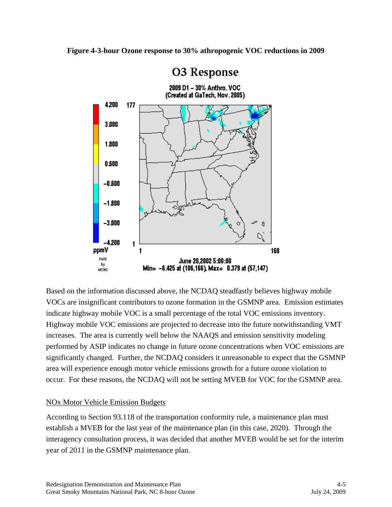

Based on the information discussed above, the NCDAQ steadfastly believes highway mobile VOCs are insignificant contributors to ozone formation in the GSMNP area. Emission estimates indicate highway mobile VOC is a small percentage of the total VOC emissions inventory. Highway mobile VOC emissions are projected to decrease into the future notwithstanding VMT increases. The area is currently well below the NAAQS and emission sensitivity modeling performed by ASIP indicates no change in future ozone concentrations when VOC emissions are significantly changed. Further, the NCDAQ considers it unreasonable to expect that the GSMNP area will experience enough motor vehicle emissions growth for a future ozone violation to occur. For these reasons, the NCDAQ will not be setting MVEB for VOC for the GSMNP area.

#### NOx Motor Vehicle Emission Budgets

According to Section 93.118 of the transportation conformity rule, a maintenance plan must establish a MVEB for the last year of the maintenance plan (in this case, 2020). Through the interagency consultation process, it was decided that another MVEB would be set for the interim year of 2011 in the GSMNP maintenance plan.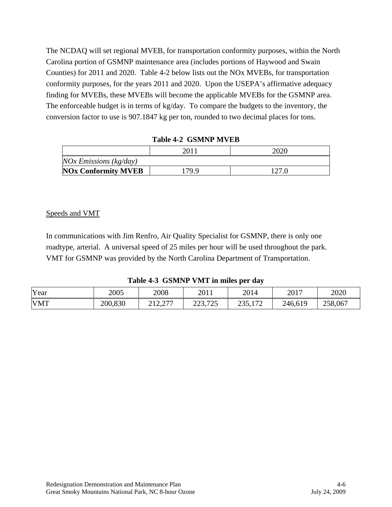The NCDAQ will set regional MVEB, for transportation conformity purposes, within the North Carolina portion of GSMNP maintenance area (includes portions of Haywood and Swain Counties) for 2011 and 2020. Table 4-2 below lists out the NOx MVEBs, for transportation conformity purposes, for the years 2011 and 2020. Upon the USEPA's affirmative adequacy finding for MVEBs, these MVEBs will become the applicable MVEBs for the GSMNP area. The enforceable budget is in terms of kg/day. To compare the budgets to the inventory, the conversion factor to use is 907.1847 kg per ton, rounded to two decimal places for tons.

|                              | 201   | 2020  |  |
|------------------------------|-------|-------|--|
| $NOx$ Emissions ( $kg/day$ ) |       |       |  |
| <b>NOx Conformity MVEB</b>   | 179.9 | 127.0 |  |

|  | <b>Table 4-2 GSMNP MVEB</b> |
|--|-----------------------------|
|--|-----------------------------|

#### Speeds and VMT

In communications with Jim Renfro, Air Quality Specialist for GSMNP, there is only one roadtype, arterial. A universal speed of 25 miles per hour will be used throughout the park. VMT for GSMNP was provided by the North Carolina Department of Transportation.

**Table 4-3 GSMNP VMT in miles per day** 

| Year       | 2005    | 2008                                                    | 2011                     | 2014                  | 2017    | 2020    |
|------------|---------|---------------------------------------------------------|--------------------------|-----------------------|---------|---------|
| <b>VMT</b> | 200,830 | $\sqrt{2}$<br>า 1 า<br>$\angle$ 1 $\angle$ , $\angle$ 1 | 705<br>⌒<br>ົ<br>22J.ILJ | 170<br>າາເ<br>2.0.112 | 246,619 | 258,067 |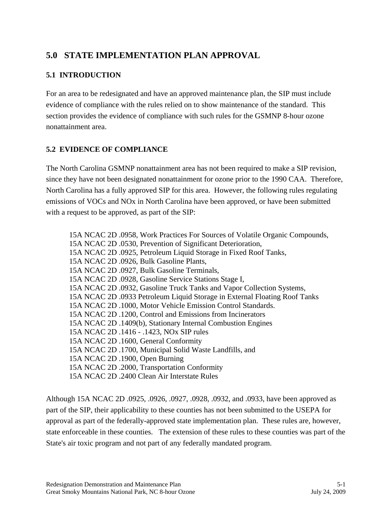## **5.0 STATE IMPLEMENTATION PLAN APPROVAL**

## **5.1 INTRODUCTION**

For an area to be redesignated and have an approved maintenance plan, the SIP must include evidence of compliance with the rules relied on to show maintenance of the standard. This section provides the evidence of compliance with such rules for the GSMNP 8-hour ozone nonattainment area.

## **5.2 EVIDENCE OF COMPLIANCE**

The North Carolina GSMNP nonattainment area has not been required to make a SIP revision, since they have not been designated nonattainment for ozone prior to the 1990 CAA. Therefore, North Carolina has a fully approved SIP for this area. However, the following rules regulating emissions of VOCs and NOx in North Carolina have been approved, or have been submitted with a request to be approved, as part of the SIP:

15A NCAC 2D .0958, Work Practices For Sources of Volatile Organic Compounds, 15A NCAC 2D .0530, Prevention of Significant Deterioration, 15A NCAC 2D .0925, Petroleum Liquid Storage in Fixed Roof Tanks, 15A NCAC 2D .0926, Bulk Gasoline Plants, 15A NCAC 2D .0927, Bulk Gasoline Terminals, 15A NCAC 2D .0928, Gasoline Service Stations Stage I, 15A NCAC 2D .0932, Gasoline Truck Tanks and Vapor Collection Systems, 15A NCAC 2D .0933 Petroleum Liquid Storage in External Floating Roof Tanks 15A NCAC 2D .1000, Motor Vehicle Emission Control Standards. 15A NCAC 2D .1200, Control and Emissions from Incinerators 15A NCAC 2D .1409(b), Stationary Internal Combustion Engines 15A NCAC 2D .1416 - .1423, NOx SIP rules 15A NCAC 2D .1600, General Conformity 15A NCAC 2D .1700, Municipal Solid Waste Landfills, and 15A NCAC 2D .1900, Open Burning 15A NCAC 2D .2000, Transportation Conformity 15A NCAC 2D .2400 Clean Air Interstate Rules

Although 15A NCAC 2D .0925, .0926, .0927, .0928, .0932, and .0933, have been approved as part of the SIP, their applicability to these counties has not been submitted to the USEPA for approval as part of the federally-approved state implementation plan. These rules are, however, state enforceable in these counties. The extension of these rules to these counties was part of the State's air toxic program and not part of any federally mandated program.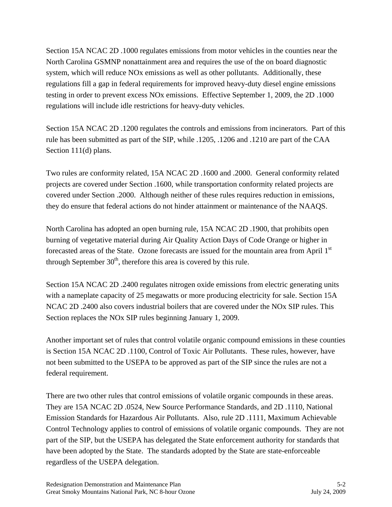Section 15A NCAC 2D .1000 regulates emissions from motor vehicles in the counties near the North Carolina GSMNP nonattainment area and requires the use of the on board diagnostic system, which will reduce NOx emissions as well as other pollutants. Additionally, these regulations fill a gap in federal requirements for improved heavy-duty diesel engine emissions testing in order to prevent excess NOx emissions. Effective September 1, 2009, the 2D .1000 regulations will include idle restrictions for heavy-duty vehicles.

Section 15A NCAC 2D .1200 regulates the controls and emissions from incinerators. Part of this rule has been submitted as part of the SIP, while .1205, .1206 and .1210 are part of the CAA Section 111(d) plans.

Two rules are conformity related, 15A NCAC 2D .1600 and .2000. General conformity related projects are covered under Section .1600, while transportation conformity related projects are covered under Section .2000. Although neither of these rules requires reduction in emissions, they do ensure that federal actions do not hinder attainment or maintenance of the NAAQS.

North Carolina has adopted an open burning rule, 15A NCAC 2D .1900, that prohibits open burning of vegetative material during Air Quality Action Days of Code Orange or higher in forecasted areas of the State. Ozone forecasts are issued for the mountain area from April 1<sup>st</sup> through September  $30<sup>th</sup>$ , therefore this area is covered by this rule.

Section 15A NCAC 2D .2400 regulates nitrogen oxide emissions from electric generating units with a nameplate capacity of 25 megawatts or more producing electricity for sale. Section 15A NCAC 2D .2400 also covers industrial boilers that are covered under the NOx SIP rules. This Section replaces the NOx SIP rules beginning January 1, 2009.

Another important set of rules that control volatile organic compound emissions in these counties is Section 15A NCAC 2D .1100, Control of Toxic Air Pollutants. These rules, however, have not been submitted to the USEPA to be approved as part of the SIP since the rules are not a federal requirement.

There are two other rules that control emissions of volatile organic compounds in these areas. They are 15A NCAC 2D .0524, New Source Performance Standards, and 2D .1110, National Emission Standards for Hazardous Air Pollutants. Also, rule 2D .1111, Maximum Achievable Control Technology applies to control of emissions of volatile organic compounds. They are not part of the SIP, but the USEPA has delegated the State enforcement authority for standards that have been adopted by the State. The standards adopted by the State are state-enforceable regardless of the USEPA delegation.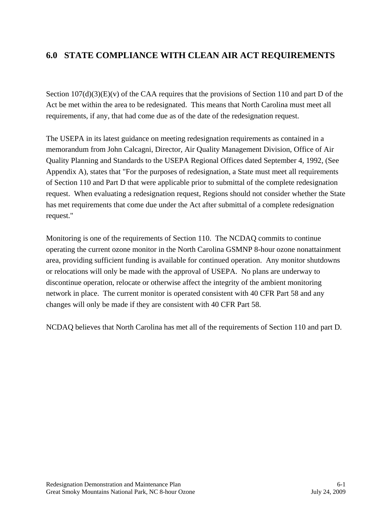## **6.0 STATE COMPLIANCE WITH CLEAN AIR ACT REQUIREMENTS**

Section  $107(d)(3)(E)(v)$  of the CAA requires that the provisions of Section 110 and part D of the Act be met within the area to be redesignated. This means that North Carolina must meet all requirements, if any, that had come due as of the date of the redesignation request.

The USEPA in its latest guidance on meeting redesignation requirements as contained in a memorandum from John Calcagni, Director, Air Quality Management Division, Office of Air Quality Planning and Standards to the USEPA Regional Offices dated September 4, 1992, (See Appendix A), states that "For the purposes of redesignation, a State must meet all requirements of Section 110 and Part D that were applicable prior to submittal of the complete redesignation request. When evaluating a redesignation request, Regions should not consider whether the State has met requirements that come due under the Act after submittal of a complete redesignation request."

Monitoring is one of the requirements of Section 110. The NCDAQ commits to continue operating the current ozone monitor in the North Carolina GSMNP 8-hour ozone nonattainment area, providing sufficient funding is available for continued operation. Any monitor shutdowns or relocations will only be made with the approval of USEPA. No plans are underway to discontinue operation, relocate or otherwise affect the integrity of the ambient monitoring network in place. The current monitor is operated consistent with 40 CFR Part 58 and any changes will only be made if they are consistent with 40 CFR Part 58.

NCDAQ believes that North Carolina has met all of the requirements of Section 110 and part D.